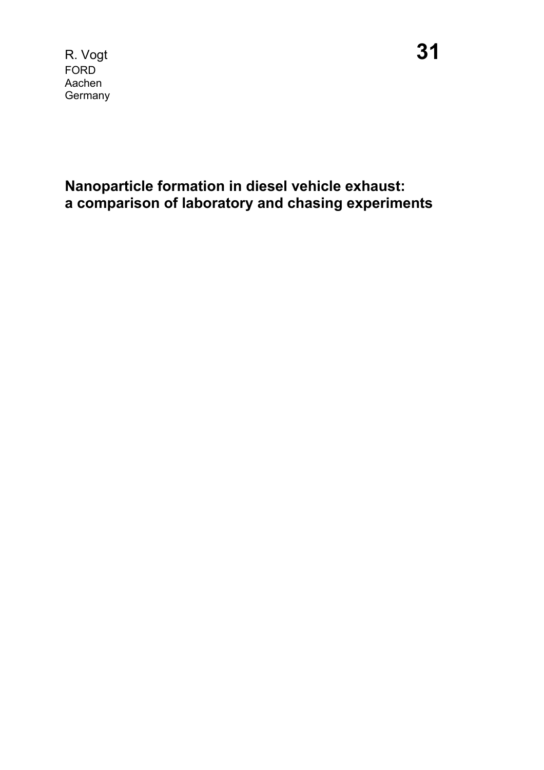R. Vogt **31** FORD Aachen **Germany** 

**Nanoparticle formation in diesel vehicle exhaust: a comparison of laboratory and chasing experiments**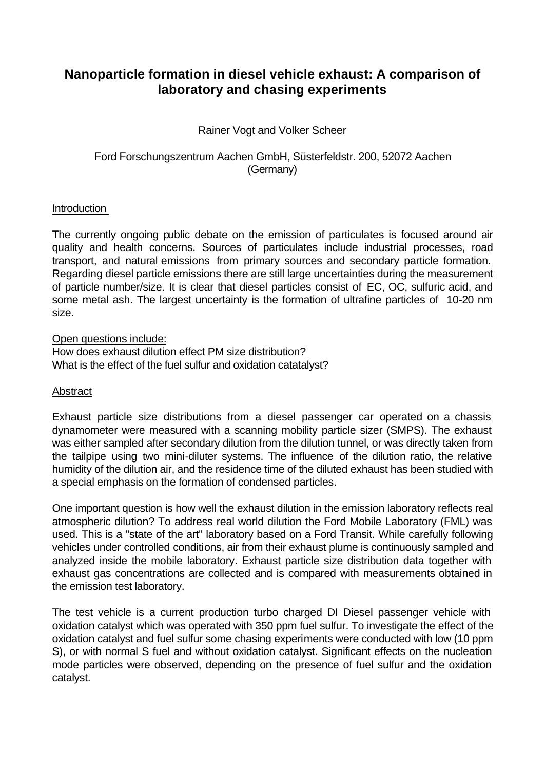# **Nanoparticle formation in diesel vehicle exhaust: A comparison of laboratory and chasing experiments**

# Rainer Vogt and Volker Scheer

# Ford Forschungszentrum Aachen GmbH, Süsterfeldstr. 200, 52072 Aachen (Germany)

# Introduction

The currently ongoing public debate on the emission of particulates is focused around air quality and health concerns. Sources of particulates include industrial processes, road transport, and natural emissions from primary sources and secondary particle formation. Regarding diesel particle emissions there are still large uncertainties during the measurement of particle number/size. It is clear that diesel particles consist of EC, OC, sulfuric acid, and some metal ash. The largest uncertainty is the formation of ultrafine particles of 10-20 nm size.

Open questions include: How does exhaust dilution effect PM size distribution? What is the effect of the fuel sulfur and oxidation catatalyst?

# **Abstract**

Exhaust particle size distributions from a diesel passenger car operated on a chassis dynamometer were measured with a scanning mobility particle sizer (SMPS). The exhaust was either sampled after secondary dilution from the dilution tunnel, or was directly taken from the tailpipe using two mini-diluter systems. The influence of the dilution ratio, the relative humidity of the dilution air, and the residence time of the diluted exhaust has been studied with a special emphasis on the formation of condensed particles.

One important question is how well the exhaust dilution in the emission laboratory reflects real atmospheric dilution? To address real world dilution the Ford Mobile Laboratory (FML) was used. This is a "state of the art" laboratory based on a Ford Transit. While carefully following vehicles under controlled conditions, air from their exhaust plume is continuously sampled and analyzed inside the mobile laboratory. Exhaust particle size distribution data together with exhaust gas concentrations are collected and is compared with measurements obtained in the emission test laboratory.

The test vehicle is a current production turbo charged DI Diesel passenger vehicle with oxidation catalyst which was operated with 350 ppm fuel sulfur. To investigate the effect of the oxidation catalyst and fuel sulfur some chasing experiments were conducted with low (10 ppm S), or with normal S fuel and without oxidation catalyst. Significant effects on the nucleation mode particles were observed, depending on the presence of fuel sulfur and the oxidation catalyst.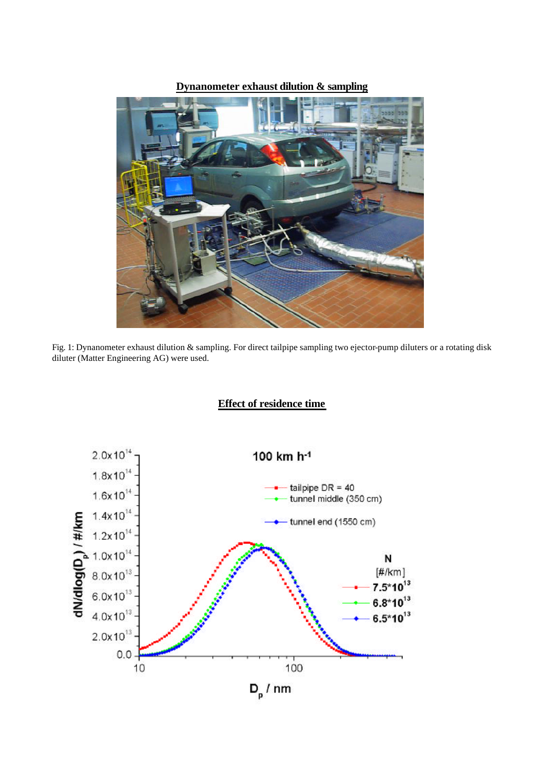### **Dynanometer exhaust dilution & sampling**



Fig. 1: Dynanometer exhaust dilution & sampling. For direct tailpipe sampling two ejector-pump diluters or a rotating disk diluter (Matter Engineering AG) were used.

**Effect of residence time**

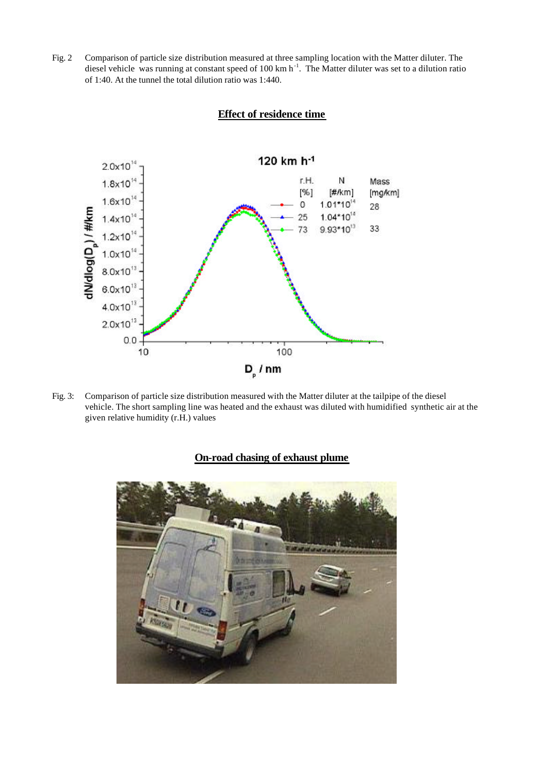Fig. 2 Comparison of particle size distribution measured at three sampling location with the Matter diluter. The diesel vehicle was running at constant speed of 100 km  $h^{-1}$ . The Matter diluter was set to a dilution ratio of 1:40. At the tunnel the total dilution ratio was 1:440.



### **Effect of residence time**

Fig. 3: Comparison of particle size distribution measured with the Matter diluter at the tailpipe of the diesel vehicle. The short sampling line was heated and the exhaust was diluted with humidified synthetic air at the given relative humidity (r.H.) values

### **On-road chasing of exhaust plume**

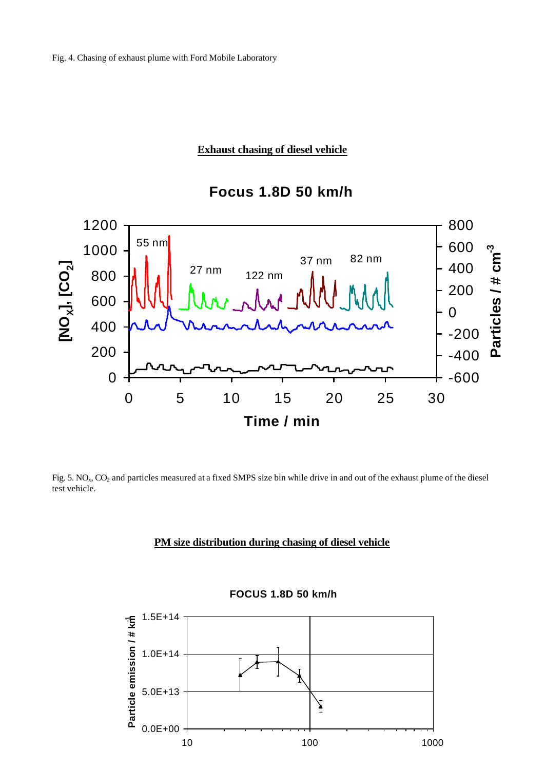### **Exhaust chasing of diesel vehicle**





Fig. 5. NO<sub>x</sub>, CO<sub>2</sub> and particles measured at a fixed SMPS size bin while drive in and out of the exhaust plume of the diesel test vehicle.

### **PM size distribution during chasing of diesel vehicle**



**FOCUS 1.8D 50 km/h**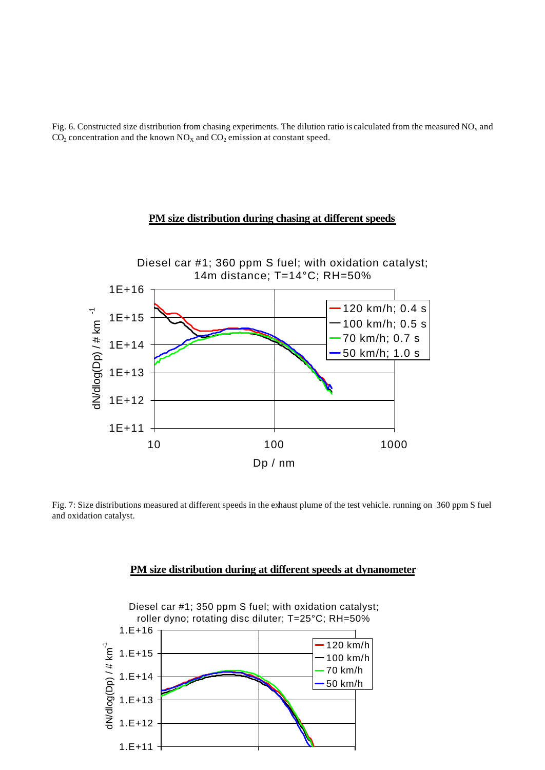Fig. 6. Constructed size distribution from chasing experiments. The dilution ratio is calculated from the measured  $NO<sub>x</sub>$  and  $CO<sub>2</sub>$  concentration and the known  $NO<sub>X</sub>$  and  $CO<sub>2</sub>$  emission at constant speed.

#### **PM size distribution during chasing at different speeds**



Fig. 7: Size distributions measured at different speeds in the exhaust plume of the test vehicle. running on 360 ppm S fuel and oxidation catalyst.

#### **PM size distribution during at different speeds at dynanometer**

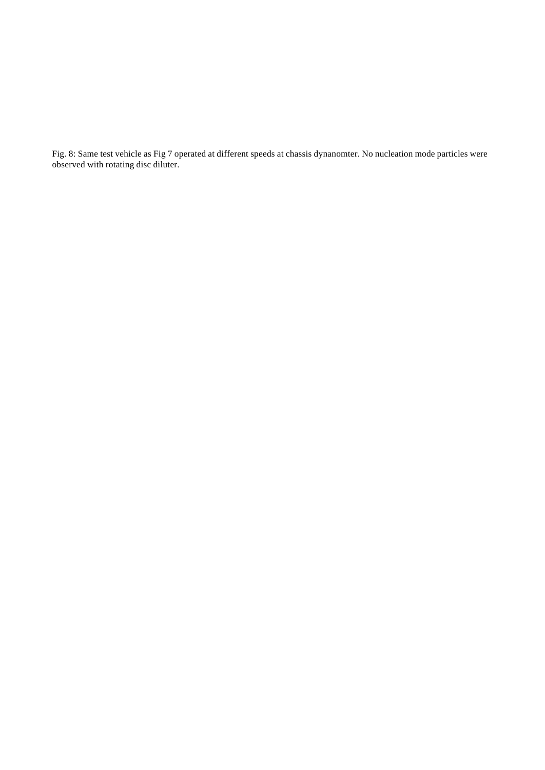Fig. 8: Same test vehicle as Fig 7 operated at different speeds at chassis dynanomter. No nucleation mode particles were observed with rotating disc diluter.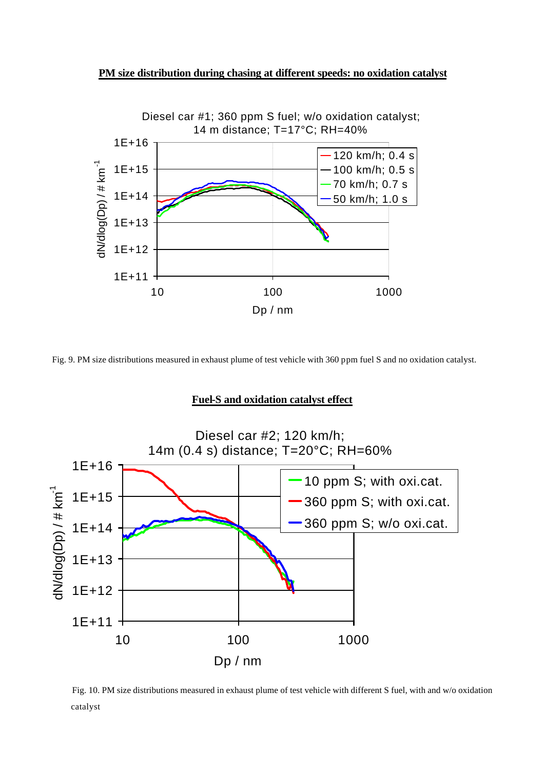



Fig. 9. PM size distributions measured in exhaust plume of test vehicle with 360 ppm fuel S and no oxidation catalyst.

#### **Fuel-S and oxidation catalyst effect**



catalyst Fig. 10. PM size distributions measured in exhaust plume of test vehicle with different S fuel, with and w/o oxidation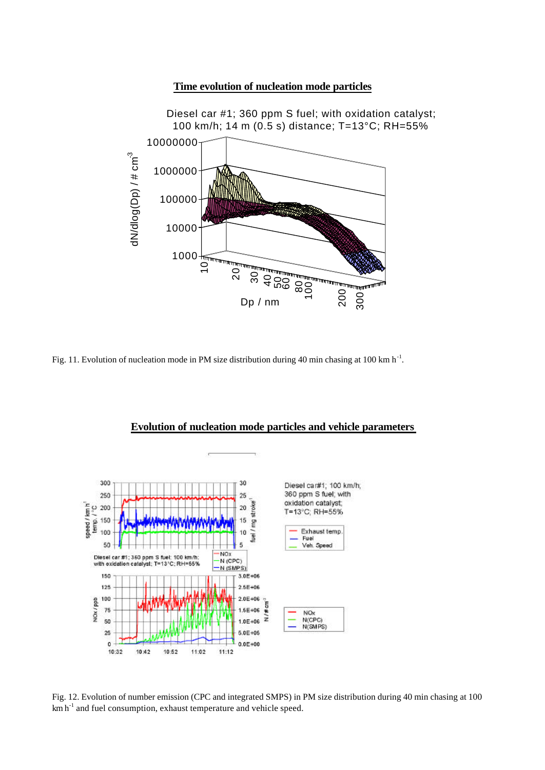#### **Time evolution of nucleation mode particles**



Fig. 11. Evolution of nucleation mode in PM size distribution during 40 min chasing at 100 km h<sup>-1</sup>.



#### **Evolution of nucleation mode particles and vehicle parameters**

Fig. 12. Evolution of number emission (CPC and integrated SMPS) in PM size distribution during 40 min chasing at 100  $km \, h^{-1}$  and fuel consumption, exhaust temperature and vehicle speed.